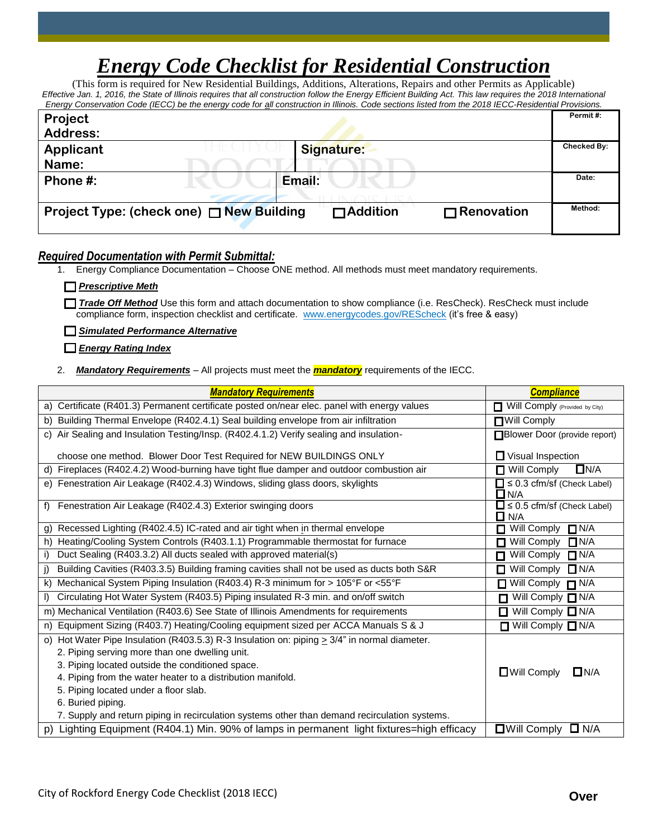# *Energy Code Checklist for Residential Construction*

(This form is required for New Residential Buildings, Additions, Alterations, Repairs and other Permits as Applicable) *Effective Jan. 1, 2016, the State of Illinois requires that all construction follow the Energy Efficient Building Act. This law requires the 2018 International Energy Conservation Code (IECC) be the energy code for all construction in Illinois. Code sections listed from the 2018 IECC-Residential Provisions.*

| LIGHT BOODS IN DUIT COUPLIL COUPLING IN CHECKY COUPLINE OF A LONGITUDI IN MINOS. COUP SECUDIO ISTED HOTH THE ZOTO ILLOCT \ESIGENTIAN I TOVISIONS. |             |
|---------------------------------------------------------------------------------------------------------------------------------------------------|-------------|
| Project                                                                                                                                           | Permit#:    |
| <b>Address:</b>                                                                                                                                   |             |
| Applicant<br><b>Signature:</b>                                                                                                                    | Checked By: |
| Name:                                                                                                                                             |             |
| Phone #:<br>Email:                                                                                                                                | Date:       |
|                                                                                                                                                   |             |
| Project Type: (check one) $\Box$ New Building<br>$\Box$ Addition<br>$\Box$ Renovation                                                             | Method:     |
|                                                                                                                                                   |             |

## *Required Documentation with Permit Submittal:*

1. Energy Compliance Documentation – Choose ONE method. All methods must meet mandatory requirements.

*Prescriptive Meth*

*Trade Off Method* Use this form and attach documentation to show compliance (i.e. ResCheck). ResCheck must include compliance form, inspection checklist and certificate. <u>www.energycodes.gov/REScheck</u> (it's free & easy)<br>.

*Simulated Performance Alternative* 

*Energy Rating Index*

2. *Mandatory Requirements* – All projects must meet the *mandatory* requirements of the IECC.

| <b>Mandatory Requirements</b>                                                                         | <b>Compliance</b>                                     |
|-------------------------------------------------------------------------------------------------------|-------------------------------------------------------|
| a) Certificate (R401.3) Permanent certificate posted on/near elec. panel with energy values           | Will Comply (Provided by City)                        |
| b) Building Thermal Envelope (R402.4.1) Seal building envelope from air infiltration                  | <b>□Will Comply</b>                                   |
| c) Air Sealing and Insulation Testing/Insp. (R402.4.1.2) Verify sealing and insulation-               | Blower Door (provide report)                          |
| choose one method. Blower Door Test Required for NEW BUILDINGS ONLY                                   | $\Box$ Visual Inspection                              |
| Fireplaces (R402.4.2) Wood-burning have tight flue damper and outdoor combustion air<br>d)            | $\overline{\Box}$ Will Comply<br>$\Box$ N/A           |
| e) Fenestration Air Leakage (R402.4.3) Windows, sliding glass doors, skylights                        | $\Box \leq 0.3$ cfm/sf (Check Label)<br>$\square$ N/A |
| Fenestration Air Leakage (R402.4.3) Exterior swinging doors<br>$f$ )                                  | $\Box \leq 0.5$ cfm/sf (Check Label)<br>$\square$ N/A |
| Recessed Lighting (R402.4.5) IC-rated and air tight when in thermal envelope<br>g)                    | $\Box$ N/A<br>Will Comply                             |
| Heating/Cooling System Controls (R403.1.1) Programmable thermostat for furnace<br>h)                  | Will Comply<br>$\Box$ N/A<br>П                        |
| Duct Sealing (R403.3.2) All ducts sealed with approved material(s)<br>i)                              | Will Comply<br>$\Box$ N/A<br>п                        |
| Building Cavities (R403.3.5) Building framing cavities shall not be used as ducts both S&R<br>i)      | Will Comply<br>$\Box$ N/A<br>п                        |
| Mechanical System Piping Insulation (R403.4) R-3 minimum for > 105°F or <55°F<br>k)                   | $\Box$ Will Comply $\Box$ N/A                         |
| Circulating Hot Water System (R403.5) Piping insulated R-3 min. and on/off switch<br>$\mathbf{D}$     | □ Will Comply □ N/A                                   |
| m) Mechanical Ventilation (R403.6) See State of Illinois Amendments for requirements                  | $\Box$ Will Comply $\Box$ N/A                         |
| Equipment Sizing (R403.7) Heating/Cooling equipment sized per ACCA Manuals S & J<br>n)                | $\Box$ Will Comply $\Box$ N/A                         |
| Hot Water Pipe Insulation (R403.5.3) R-3 Insulation on: piping $\geq 3/4$ " in normal diameter.<br>O) |                                                       |
| 2. Piping serving more than one dwelling unit.                                                        |                                                       |
| 3. Piping located outside the conditioned space.                                                      | $\Box$ N/A                                            |
| 4. Piping from the water heater to a distribution manifold.                                           | $\Box$ Will Comply                                    |
| 5. Piping located under a floor slab.                                                                 |                                                       |
| 6. Buried piping.                                                                                     |                                                       |
| 7. Supply and return piping in recirculation systems other than demand recirculation systems.         |                                                       |
| p) Lighting Equipment (R404.1) Min. 90% of lamps in permanent light fixtures=high efficacy            | $\Box$ Will Comply $\Box$ N/A                         |